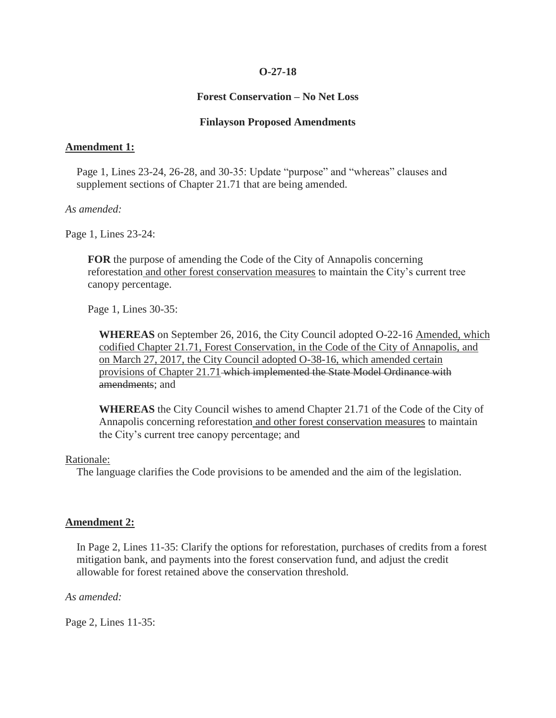## **O-27-18**

# **Forest Conservation – No Net Loss**

## **Finlayson Proposed Amendments**

## **Amendment 1:**

Page 1, Lines 23-24, 26-28, and 30-35: Update "purpose" and "whereas" clauses and supplement sections of Chapter 21.71 that are being amended.

#### *As amended:*

Page 1, Lines 23-24:

**FOR** the purpose of amending the Code of the City of Annapolis concerning reforestation and other forest conservation measures to maintain the City's current tree canopy percentage.

Page 1, Lines 30-35:

**WHEREAS** on September 26, 2016, the City Council adopted O-22-16 Amended, which codified Chapter 21.71, Forest Conservation, in the Code of the City of Annapolis, and on March 27, 2017, the City Council adopted O-38-16, which amended certain provisions of Chapter 21.71 which implemented the State Model Ordinance with amendments; and

**WHEREAS** the City Council wishes to amend Chapter 21.71 of the Code of the City of Annapolis concerning reforestation and other forest conservation measures to maintain the City's current tree canopy percentage; and

#### Rationale:

The language clarifies the Code provisions to be amended and the aim of the legislation.

# **Amendment 2:**

In Page 2, Lines 11-35: Clarify the options for reforestation, purchases of credits from a forest mitigation bank, and payments into the forest conservation fund, and adjust the credit allowable for forest retained above the conservation threshold.

*As amended:*

Page 2, Lines 11-35: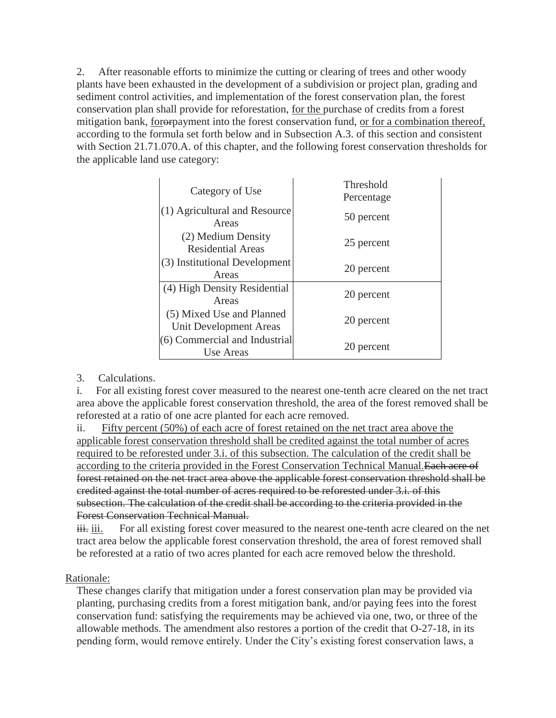2. After reasonable efforts to minimize the cutting or clearing of trees and other woody plants have been exhausted in the development of a subdivision or project plan, grading and sediment control activities, and implementation of the forest conservation plan, the forest conservation plan shall provide for reforestation, for the purchase of credits from a forest mitigation bank, fororpayment into the forest conservation fund, or for a combination thereof, according to the formula set forth below and in Subsection A.3. of this section and consistent with Section 21.71.070.A. of this chapter, and the following forest conservation thresholds for the applicable land use category:

| Threshold<br>Percentage                     |
|---------------------------------------------|
|                                             |
| 25 percent                                  |
|                                             |
| 20 percent                                  |
|                                             |
| (6) Commercial and Industrial<br>20 percent |
|                                             |

3. Calculations.

i. For all existing forest cover measured to the nearest one-tenth acre cleared on the net tract area above the applicable forest conservation threshold, the area of the forest removed shall be reforested at a ratio of one acre planted for each acre removed.

ii. Fifty percent (50%) of each acre of forest retained on the net tract area above the applicable forest conservation threshold shall be credited against the total number of acres required to be reforested under 3.i. of this subsection. The calculation of the credit shall be according to the criteria provided in the Forest Conservation Technical Manual.Each acre of forest retained on the net tract area above the applicable forest conservation threshold shall be credited against the total number of acres required to be reforested under 3.i. of this subsection. The calculation of the credit shall be according to the criteria provided in the Forest Conservation Technical Manual.

iii. For all existing forest cover measured to the nearest one-tenth acre cleared on the net tract area below the applicable forest conservation threshold, the area of forest removed shall be reforested at a ratio of two acres planted for each acre removed below the threshold.

# Rationale:

These changes clarify that mitigation under a forest conservation plan may be provided via planting, purchasing credits from a forest mitigation bank, and/or paying fees into the forest conservation fund: satisfying the requirements may be achieved via one, two, or three of the allowable methods. The amendment also restores a portion of the credit that O-27-18, in its pending form, would remove entirely. Under the City's existing forest conservation laws, a